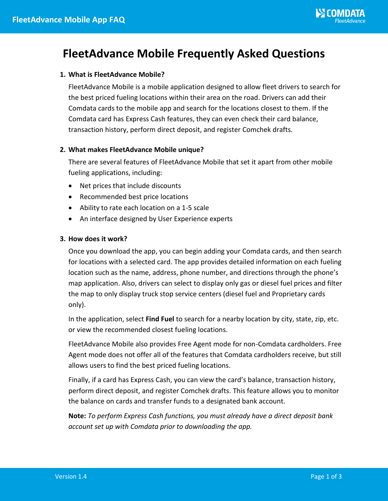# **FleetAdvance Mobile Frequently Asked Questions**

# **1. What is FleetAdvance Mobile?**

FleetAdvance Mobile is a mobile application designed to allow fleet drivers to search for the best priced fueling locations within their area on the road. Drivers can add their Comdata cards to the mobile app and search for the locations closest to them. If the Comdata card has Express Cash features, they can even check their card balance, transaction history, perform direct deposit, and register Comchek drafts.

# **2. What makes FleetAdvance Mobile unique?**

There are several features of FleetAdvance Mobile that set it apart from other mobile fueling applications, including:

- Net prices that include discounts
- Recommended best price locations
- Ability to rate each location on a 1-5 scale
- An interface designed by User Experience experts

# **3. How does it work?**

Once you download the app, you can begin adding your Comdata cards, and then search for locations with a selected card. The app provides detailed information on each fueling location such as the name, address, phone number, and directions through the phone's map application. Also, drivers can select to display only gas or diesel fuel prices and filter the map to only display truck stop service centers (diesel fuel and Proprietary cards only).

In the application, select **Find Fuel** to search for a nearby location by city, state, zip, etc. or view the recommended closest fueling locations.

FleetAdvance Mobile also provides Free Agent mode for non-Comdata cardholders. Free Agent mode does not offer all of the features that Comdata cardholders receive, but still allows users to find the best priced fueling locations.

Finally, if a card has Express Cash, you can view the card's balance, transaction history, perform direct deposit, and register Comchek drafts. This feature allows you to monitor the balance on cards and transfer funds to a designated bank account.

**Note:** *To perform Express Cash functions, you must already have a direct deposit bank account set up with Comdata prior to downloading the app.*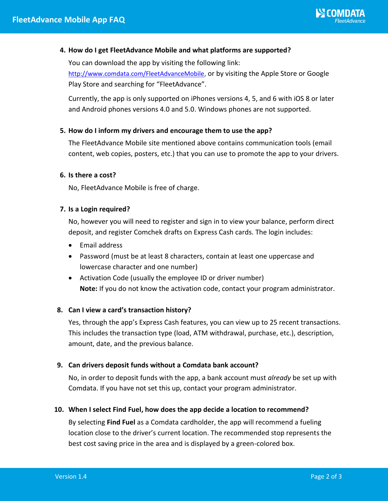# **4. How do I get FleetAdvance Mobile and what platforms are supported?**

You can download the app by visiting the following link: <http://www.comdata.com/FleetAdvanceMobile>, or by visiting the Apple Store or Google Play Store and searching for "FleetAdvance".

Currently, the app is only supported on iPhones versions 4, 5, and 6 with iOS 8 or later and Android phones versions 4.0 and 5.0. Windows phones are not supported.

# **5. How do I inform my drivers and encourage them to use the app?**

The FleetAdvance Mobile site mentioned above contains communication tools (email content, web copies, posters, etc.) that you can use to promote the app to your drivers.

# **6. Is there a cost?**

No, FleetAdvance Mobile is free of charge.

# **7. Is a Login required?**

No, however you will need to register and sign in to view your balance, perform direct deposit, and register Comchek drafts on Express Cash cards. The login includes:

- Email address
- Password (must be at least 8 characters, contain at least one uppercase and lowercase character and one number)
- Activation Code (usually the employee ID or driver number) **Note:** If you do not know the activation code, contact your program administrator.

# **8. Can I view a card's transaction history?**

Yes, through the app's Express Cash features, you can view up to 25 recent transactions. This includes the transaction type (load, ATM withdrawal, purchase, etc.), description, amount, date, and the previous balance.

# **9. Can drivers deposit funds without a Comdata bank account?**

No, in order to deposit funds with the app, a bank account must *already* be set up with Comdata. If you have not set this up, contact your program administrator.

# **10. When I select Find Fuel, how does the app decide a location to recommend?**

By selecting **Find Fuel** as a Comdata cardholder, the app will recommend a fueling location close to the driver's current location. The recommended stop represents the best cost saving price in the area and is displayed by a green-colored box.